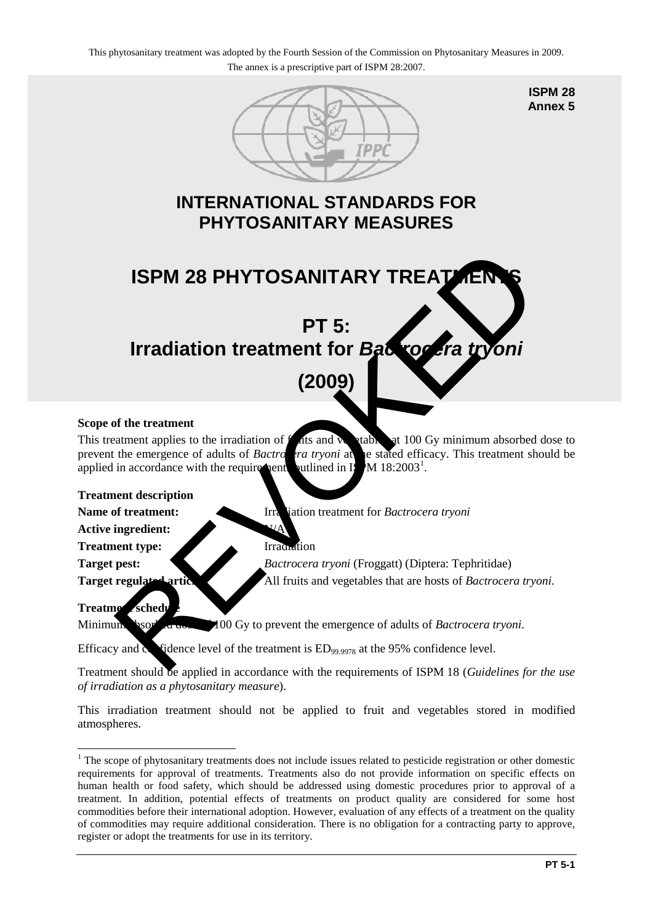

**ISPM 28 Annex 5**

# **INTERNATIONAL STANDARDS FOR PHYTOSANITARY MEASURES**



# **(2009)**

#### **Scope of the treatment**

This treatment applies to the irradiation of  $f$  at  $s$  and  $y$  at 100 Gy minimum absorbed dose to prevent the emergence of adults of *Bactrocera tryoni* at the stated efficacy. This treatment should be applied in accordance with the requirements outlined in Is  $M$  18:2003<sup>1</sup>.

#### **Treatment description**

**Name of treatment:** Irradiation treatment for *Bactrocera tryoni* 

**Active ingredient:** 

**Treatment type:** Irradiation

**Target pest:** *Bactrocera tryoni* (Froggatt) (Diptera: Tephritidae) **Target regulated articles:** All fruits and vegetables that are hosts of *Bactrocera tryoni*.

## **Treatment schedule**

Minimum absorbed down  $\neq 00$  Gy to prevent the emergence of adults of *Bactrocera tryoni*.

Efficacy and confidence level of the treatment is  $ED_{99.9978}$  at the 95% confidence level.

Treatment should be applied in accordance with the requirements of ISPM 18 (*Guidelines for the use of irradiation as a phytosanitary measure*).

This irradiation treatment should not be applied to fruit and vegetables stored in modified atmospheres.

<span id="page-0-0"></span><sup>&</sup>lt;u>.</u> <sup>1</sup> The scope of phytosanitary treatments does not include issues related to pesticide registration or other domestic requirements for approval of treatments. Treatments also do not provide information on specific effects on human health or food safety, which should be addressed using domestic procedures prior to approval of a treatment. In addition, potential effects of treatments on product quality are considered for some host commodities before their international adoption. However, evaluation of any effects of a treatment on the quality of commodities may require additional consideration. There is no obligation for a contracting party to approve, register or adopt the treatments for use in its territory.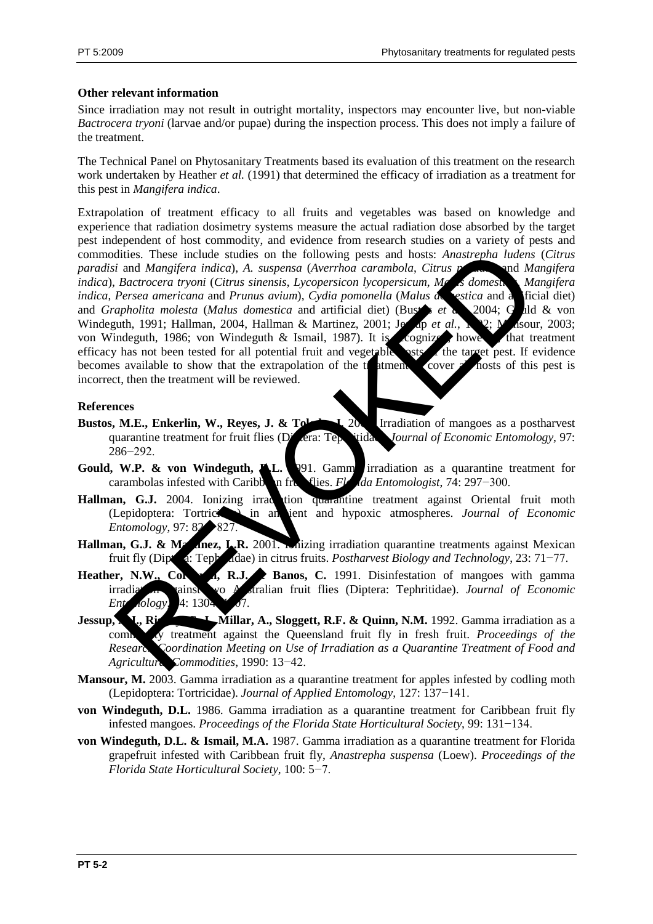## **Other relevant information**

Since irradiation may not result in outright mortality, inspectors may encounter live, but non-viable *Bactrocera tryoni* (larvae and/or pupae) during the inspection process. This does not imply a failure of the treatment.

The Technical Panel on Phytosanitary Treatments based its evaluation of this treatment on the research work undertaken by Heather *et al.* (1991) that determined the efficacy of irradiation as a treatment for this pest in *Mangifera indica*.

Extrapolation of treatment efficacy to all fruits and vegetables was based on knowledge and experience that radiation dosimetry systems measure the actual radiation dose absorbed by the target pest independent of host commodity, and evidence from research studies on a variety of pests and commodities. These include studies on the following pests and hosts: *Anastrepha ludens* (*Citrus paradisi* and *Mangifera indica*), *A. suspensa* (*Averrhoa carambola*, *Citrus paradisi* and *Mangifera indica*), *Bactrocera tryoni* (*Citrus sinensis*, *Lycopersicon lycopersicum*, *Malus domestica*, *Mangifera indica*, *Persea americana* and *Prunus avium*), *Cydia pomonella* (*Malus de estica* and a ficial diet) and *Grapholita molesta* (*Malus domestica* and artificial diet) (Bustar *et a*) 2004; Guld & von Windeguth, 1991; Hallman, 2004, Hallman & Martinez, 2001; Jessep *et al.*, 192; Masour, 2003; von Windeguth, 1986; von Windeguth & Ismail, 1987). It is cognized, however, that treatment efficacy has not been tested for all potential fruit and vegetable  $\sim$  the target pest. If evidence becomes available to show that the extrapolation of the trainent to cover all hosts of this pest is incorrect, then the treatment will be reviewed. dities. These include studies on the following pests and hosts: Anastrepha ludens<br>
is Bactrocera tryoni (Citrus sinensis, Lycopersicon hycopersicum, M<br> *Bactrocera tryoni (Citrus sinensis, Lycopersicon hycopersicum, M*<br>

#### **References**

- **Bustos, M.E., Enkerlin, W., Reyes, J. & Toledoc, J. 2004.** Irradiation of mangoes as a postharvest quarantine treatment for fruit flies (Diptera: Tephritidae). *Journal of Economic Entomology*, 97: 286−292.
- **Gould, W.P. & von Windeguth, A.L.** 1991. Gamma irradiation as a quarantine treatment for carambolas infested with Caribb**on fruit flies.** *Florida Entomologist*, 74: 297−300.
- Hallman, G.J. 2004. Ionizing irradition quarantine treatment against Oriental fruit moth (Lepidoptera: Tortricidae) in ambient and hypoxic atmospheres. *Journal of Economic Entomology*, 97: 82→827.
- Hallman, G.J. & Martinez, L.R. 2001. Inizing irradiation quarantine treatments against Mexican fruit fly (Diptera: Tephritidae) in citrus fruits. *Postharvest Biology and Technology*, 23: 71−77.
- Heather, N.W., Correct R.J. **Banos, C.** 1991. Disinfestation of mangoes with gamma irradiation against two Australian fruit flies (Diptera: Tephritidae). *Journal of Economic Ent iology*, 4: 1304
- **Jessup, A., Righeric H., Millar, A., Sloggett, R.F. & Quinn, N.M.** 1992. Gamma irradiation as a commodity treatment against the Queensland fruit fly in fresh fruit. *Proceedings of the Research Coordination Meeting on Use of Irradiation as a Quarantine Treatment of Food and Agricultural Commodities*, 1990: 13−42.
- **Mansour, M.** 2003. Gamma irradiation as a quarantine treatment for apples infested by codling moth (Lepidoptera: Tortricidae). *Journal of Applied Entomology*, 127: 137−141.
- **von Windeguth, D.L.** 1986. Gamma irradiation as a quarantine treatment for Caribbean fruit fly infested mangoes. *Proceedings of the Florida State Horticultural Society*, 99: 131−134.
- **von Windeguth, D.L. & Ismail, M.A.** 1987. Gamma irradiation as a quarantine treatment for Florida grapefruit infested with Caribbean fruit fly, *Anastrepha suspensa* (Loew). *Proceedings of the Florida State Horticultural Society*, 100: 5−7.